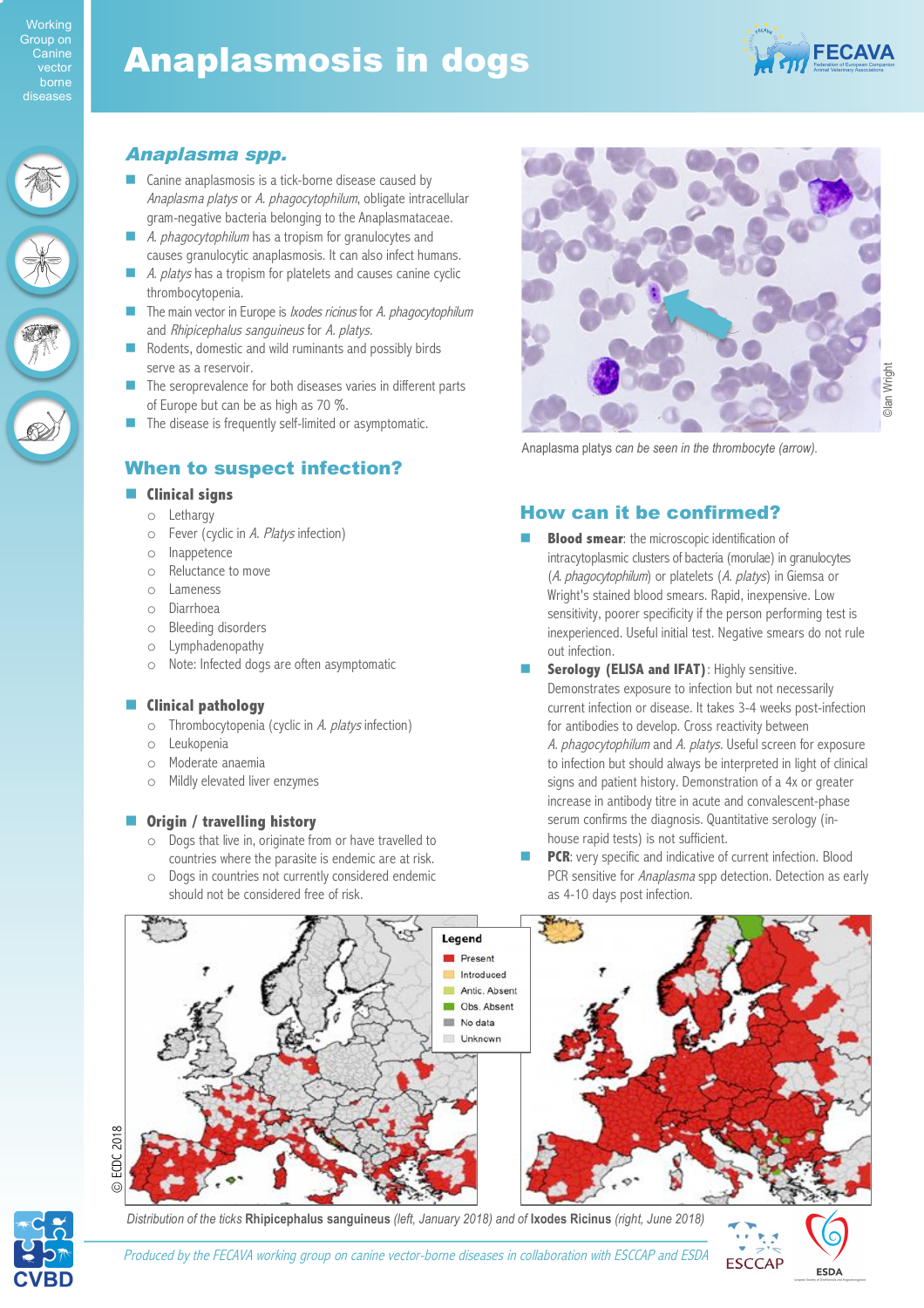# Anaplasmosis in dogs



## Anaplasma spp.

- $\Box$  Canine anaplasmosis is a tick-borne disease caused by Anaplasma platys or A. phagocytophilum, obligate intracellular gram-negative bacteria belonging to the Anaplasmataceae.
- A. *phagocytophilum* has a tropism for granulocytes and causes granulocytic anaplasmosis. It can also infect humans.
- A. platys has a tropism for platelets and causes canine cyclic thrombocytopenia.
- The main vector in Europe is *Ixodes ricinus* for A. phagocytophilum and Rhipicephalus sanguineus for A. platys.
- Rodents, domestic and wild ruminants and possibly birds serve as a reservoir.
- The seroprevalence for both diseases varies in different parts of Europe but can be as high as 70 %.
- **In The disease is frequently self-limited or asymptomatic.**

## When to suspect infection?

#### $\blacksquare$  Clinical signs

- o Lethargy
- o Fever (cyclic in A. Platys infection)
- o Inappetence
- o Reluctance to move
- o Lameness
- o Diarrhoea
- o Bleeding disorders
- o Lymphadenopathy
- o Note: Infected dogs are often asymptomatic

#### $\blacksquare$  **Clinical pathology**

- $\circ$  Thrombocytopenia (cyclic in A. platys infection)
- o Leukopenia
- o Moderate anaemia
- o Mildly elevated liver enzymes

#### $\blacksquare$  **Origin / travelling history**

- o Dogs that live in, originate from or have travelled to countries where the parasite is endemic are at risk.
- o Dogs in countries not currently considered endemic should not be considered free of risk.



Anaplasma platys *can be seen in the thrombocyte (arrow).*

## How can it be confirmed?

- **Blood smear:** the microscopic identification of intracytoplasmic clusters of bacteria (morulae) in granulocytes (A. phagocytophilum) or platelets (A. platys) in Giemsa or Wright's stained blood smears. Rapid, inexpensive. Low sensitivity, poorer specificity if the person performing test is inexperienced. Useful initial test. Negative smears do not rule out infection.
- **Serology (ELISA and IFAT): Highly sensitive.** Demonstrates exposure to infection but not necessarily current infection or disease. It takes 3-4 weeks post-infection for antibodies to develop. Cross reactivity between A. phagocytophilum and A. platys. Useful screen for exposure to infection but should always be interpreted in light of clinical signs and patient history. Demonstration of a 4x or greater increase in antibody titre in acute and convalescent-phase serum confirms the diagnosis. Quantitative serology (inhouse rapid tests) is not sufficient.
- PCR: very specific and indicative of current infection. Blood PCR sensitive for Anaplasma spp detection. Detection as early as 4-10 days post infection.





© ECDC 2018

ECDC 2018

*Distribution of the ticks* **Rhipicephalus sanguineus** *(left, January 2018) and of* **Ixodes Ricinus** *(right, June 2018)*



Produced by the FECAVA working group on canine vector-borne diseases in collaboration with ESCCAP and ESDA